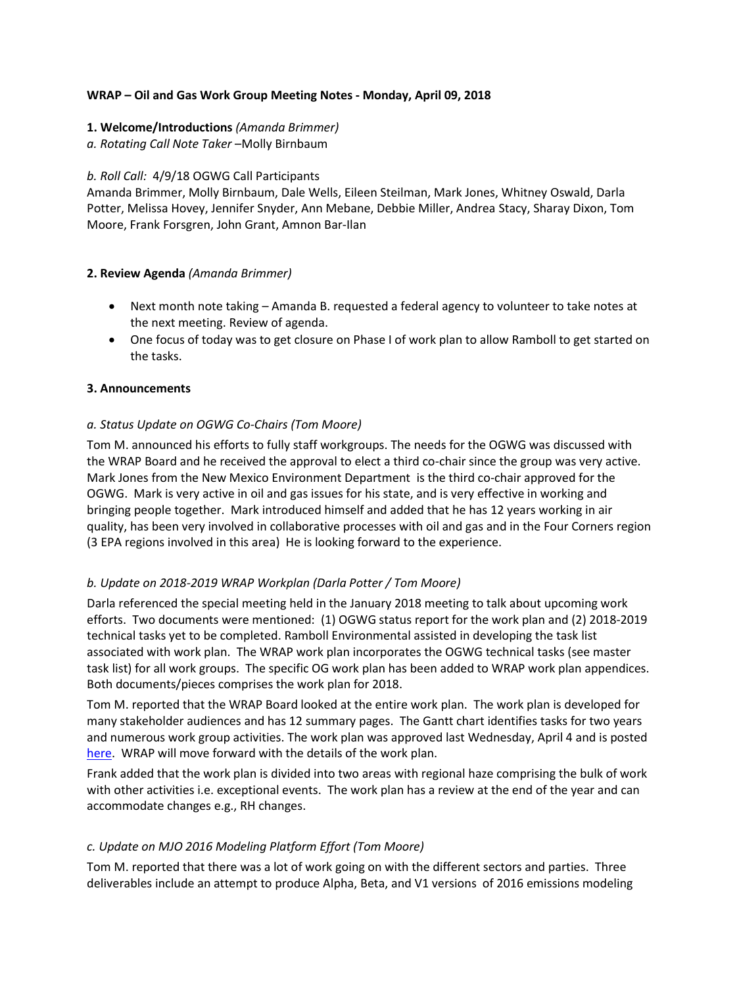# **WRAP – Oil and Gas Work Group Meeting Notes - Monday, April 09, 2018**

### **1. Welcome/Introductions** *(Amanda Brimmer)*

*a. Rotating Call Note Taker* –Molly Birnbaum

## *b. Roll Call:* 4/9/18 OGWG Call Participants

Amanda Brimmer, Molly Birnbaum, Dale Wells, Eileen Steilman, Mark Jones, Whitney Oswald, Darla Potter, Melissa Hovey, Jennifer Snyder, Ann Mebane, Debbie Miller, Andrea Stacy, Sharay Dixon, Tom Moore, Frank Forsgren, John Grant, Amnon Bar-Ilan

## **2. Review Agenda** *(Amanda Brimmer)*

- Next month note taking Amanda B. requested a federal agency to volunteer to take notes at the next meeting. Review of agenda.
- One focus of today was to get closure on Phase I of work plan to allow Ramboll to get started on the tasks.

## **3. Announcements**

# *a. Status Update on OGWG Co-Chairs (Tom Moore)*

Tom M. announced his efforts to fully staff workgroups. The needs for the OGWG was discussed with the WRAP Board and he received the approval to elect a third co-chair since the group was very active. Mark Jones from the New Mexico Environment Department is the third co-chair approved for the OGWG. Mark is very active in oil and gas issues for his state, and is very effective in working and bringing people together. Mark introduced himself and added that he has 12 years working in air quality, has been very involved in collaborative processes with oil and gas and in the Four Corners region (3 EPA regions involved in this area) He is looking forward to the experience.

# *b. Update on 2018-2019 WRAP Workplan (Darla Potter / Tom Moore)*

Darla referenced the special meeting held in the January 2018 meeting to talk about upcoming work efforts. Two documents were mentioned: (1) OGWG status report for the work plan and (2) 2018-2019 technical tasks yet to be completed. Ramboll Environmental assisted in developing the task list associated with work plan. The WRAP work plan incorporates the OGWG technical tasks (see master task list) for all work groups. The specific OG work plan has been added to WRAP work plan appendices. Both documents/pieces comprises the work plan for 2018.

Tom M. reported that the WRAP Board looked at the entire work plan. The work plan is developed for many stakeholder audiences and has 12 summary pages. The Gantt chart identifies tasks for two years and numerous work group activities. The work plan was approved last Wednesday, April 4 and is posted [here.](https://www.wrapair2.org/pdf/2018-2019%20WRAP%20Workplan%20-%20Board%20approved%20April_4_2018.pdf) WRAP will move forward with the details of the work plan.

Frank added that the work plan is divided into two areas with regional haze comprising the bulk of work with other activities i.e. exceptional events. The work plan has a review at the end of the year and can accommodate changes e.g., RH changes.

# *c. Update on MJO 2016 Modeling Platform Effort (Tom Moore)*

Tom M. reported that there was a lot of work going on with the different sectors and parties. Three deliverables include an attempt to produce Alpha, Beta, and V1 versions of 2016 emissions modeling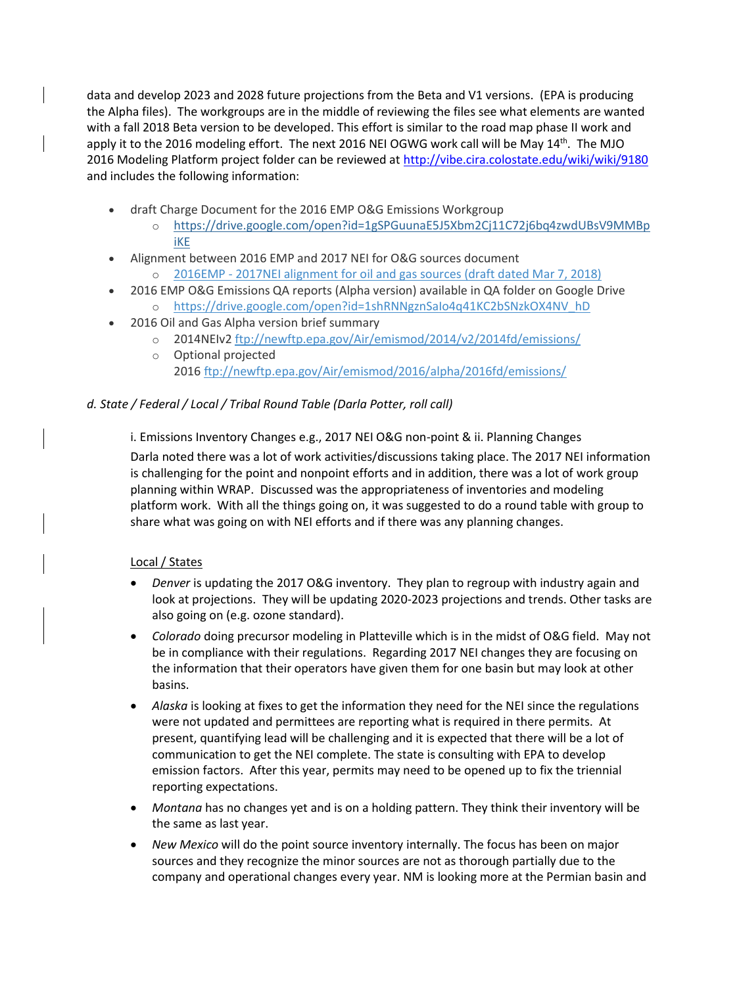data and develop 2023 and 2028 future projections from the Beta and V1 versions. (EPA is producing the Alpha files). The workgroups are in the middle of reviewing the files see what elements are wanted with a fall 2018 Beta version to be developed. This effort is similar to the road map phase II work and apply it to the 2016 modeling effort. The next 2016 NEI OGWG work call will be May 14<sup>th</sup>. The MJO 2016 Modeling Platform project folder can be reviewed at <http://vibe.cira.colostate.edu/wiki/wiki/9180> and includes the following information:

- draft Charge Document for the 2016 EMP O&G Emissions Workgroup
	- o [https://drive.google.com/open?id=1gSPGuunaE5J5Xbm2Cj11C72j6bq4zwdUBsV9MMBp](https://drive.google.com/open?id=1gSPGuunaE5J5Xbm2Cj11C72j6bq4zwdUBsV9MMBpiKE) [iKE](https://drive.google.com/open?id=1gSPGuunaE5J5Xbm2Cj11C72j6bq4zwdUBsV9MMBpiKE)
- Alignment between 2016 EMP and 2017 NEI for O&G sources document
	- 2016EMP [2017NEI alignment for oil and gas sources \(draft dated Mar 7, 2018\)](http://vibe.cira.colostate.edu/wiki/Attachments/Inventory%20Collaborative/oilgas_files/Alignment_between_national2016EMPand2017NEI_OandG_EIwork_draft_March%207_2018%20v2.pdf)
- 2016 EMP O&G Emissions QA reports (Alpha version) available in QA folder on Google Drive o [https://drive.google.com/open?id=1shRNNgznSaIo4q41KC2bSNzkOX4NV\\_hD](https://drive.google.com/open?id=1shRNNgznSaIo4q41KC2bSNzkOX4NV_hD)
	- 2016 Oil and Gas Alpha version brief summary
		- o 2014NEIv2 <ftp://newftp.epa.gov/Air/emismod/2014/v2/2014fd/emissions/>
		- o Optional projected 2016 <ftp://newftp.epa.gov/Air/emismod/2016/alpha/2016fd/emissions/>

# *d. State / Federal / Local / Tribal Round Table (Darla Potter, roll call)*

i. Emissions Inventory Changes e.g., 2017 NEI O&G non-point & ii. Planning Changes Darla noted there was a lot of work activities/discussions taking place. The 2017 NEI information is challenging for the point and nonpoint efforts and in addition, there was a lot of work group planning within WRAP. Discussed was the appropriateness of inventories and modeling platform work. With all the things going on, it was suggested to do a round table with group to share what was going on with NEI efforts and if there was any planning changes.

# Local / States

- *Denver* is updating the 2017 O&G inventory. They plan to regroup with industry again and look at projections. They will be updating 2020-2023 projections and trends. Other tasks are also going on (e.g. ozone standard).
- *Colorado* doing precursor modeling in Platteville which is in the midst of O&G field. May not be in compliance with their regulations. Regarding 2017 NEI changes they are focusing on the information that their operators have given them for one basin but may look at other basins.
- *Alaska* is looking at fixes to get the information they need for the NEI since the regulations were not updated and permittees are reporting what is required in there permits. At present, quantifying lead will be challenging and it is expected that there will be a lot of communication to get the NEI complete. The state is consulting with EPA to develop emission factors. After this year, permits may need to be opened up to fix the triennial reporting expectations.
- *Montana* has no changes yet and is on a holding pattern. They think their inventory will be the same as last year.
- *New Mexico* will do the point source inventory internally. The focus has been on major sources and they recognize the minor sources are not as thorough partially due to the company and operational changes every year. NM is looking more at the Permian basin and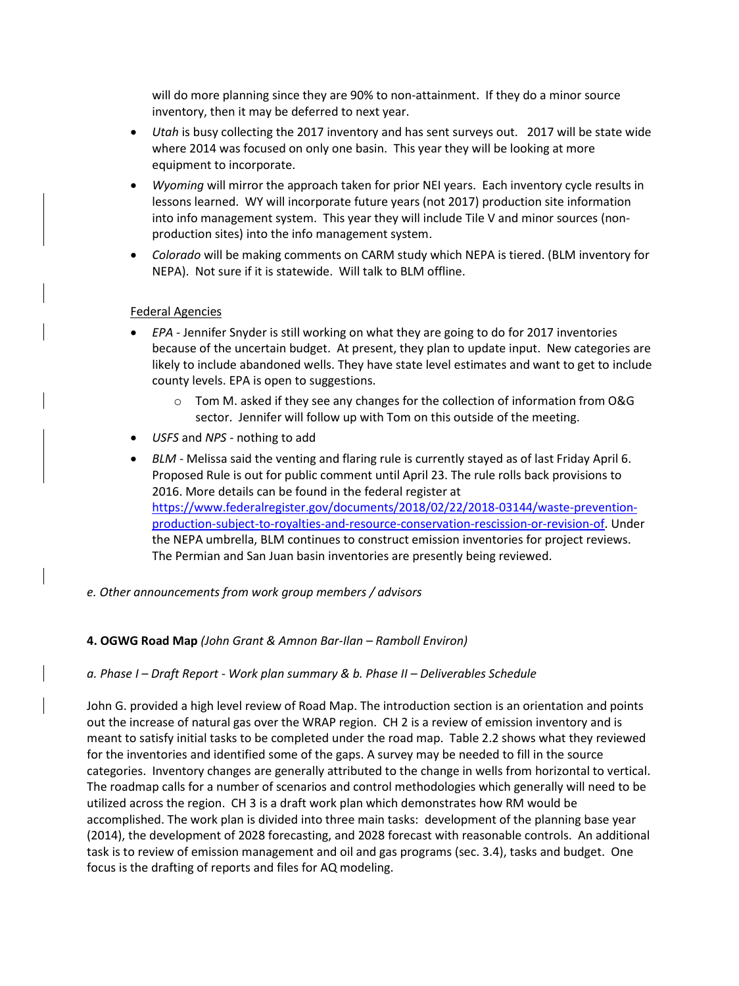will do more planning since they are 90% to non-attainment. If they do a minor source inventory, then it may be deferred to next year.

- *Utah* is busy collecting the 2017 inventory and has sent surveys out. 2017 will be state wide where 2014 was focused on only one basin. This year they will be looking at more equipment to incorporate.
- *Wyoming* will mirror the approach taken for prior NEI years. Each inventory cycle results in lessons learned. WY will incorporate future years (not 2017) production site information into info management system. This year they will include Tile V and minor sources (nonproduction sites) into the info management system.
- *Colorado* will be making comments on CARM study which NEPA is tiered. (BLM inventory for NEPA). Not sure if it is statewide. Will talk to BLM offline.

## Federal Agencies

- *EPA* Jennifer Snyder is still working on what they are going to do for 2017 inventories because of the uncertain budget. At present, they plan to update input. New categories are likely to include abandoned wells. They have state level estimates and want to get to include county levels. EPA is open to suggestions.
	- o Tom M. asked if they see any changes for the collection of information from O&G sector. Jennifer will follow up with Tom on this outside of the meeting.
- *USFS* and *NPS -* nothing to add
- *BLM* Melissa said the venting and flaring rule is currently stayed as of last Friday April 6. Proposed Rule is out for public comment until April 23. The rule rolls back provisions to 2016. More details can be found in the federal register at [https://www.federalregister.gov/documents/2018/02/22/2018-03144/waste-prevention](https://www.federalregister.gov/documents/2018/02/22/2018-03144/waste-prevention-production-subject-to-royalties-and-resource-conservation-rescission-or-revision-of)[production-subject-to-royalties-and-resource-conservation-rescission-or-revision-of.](https://www.federalregister.gov/documents/2018/02/22/2018-03144/waste-prevention-production-subject-to-royalties-and-resource-conservation-rescission-or-revision-of) Under the NEPA umbrella, BLM continues to construct emission inventories for project reviews. The Permian and San Juan basin inventories are presently being reviewed.
- *e. Other announcements from work group members / advisors*

### **4. OGWG Road Map** *(John Grant & Amnon Bar-Ilan – Ramboll Environ)*

### *a. Phase I – Draft Report - Work plan summary & b. Phase II – Deliverables Schedule*

John G. provided a high level review of Road Map. The introduction section is an orientation and points out the increase of natural gas over the WRAP region. CH 2 is a review of emission inventory and is meant to satisfy initial tasks to be completed under the road map. Table 2.2 shows what they reviewed for the inventories and identified some of the gaps. A survey may be needed to fill in the source categories. Inventory changes are generally attributed to the change in wells from horizontal to vertical. The roadmap calls for a number of scenarios and control methodologies which generally will need to be utilized across the region. CH 3 is a draft work plan which demonstrates how RM would be accomplished. The work plan is divided into three main tasks: development of the planning base year (2014), the development of 2028 forecasting, and 2028 forecast with reasonable controls. An additional task is to review of emission management and oil and gas programs (sec. 3.4), tasks and budget. One focus is the drafting of reports and files for AQ modeling.